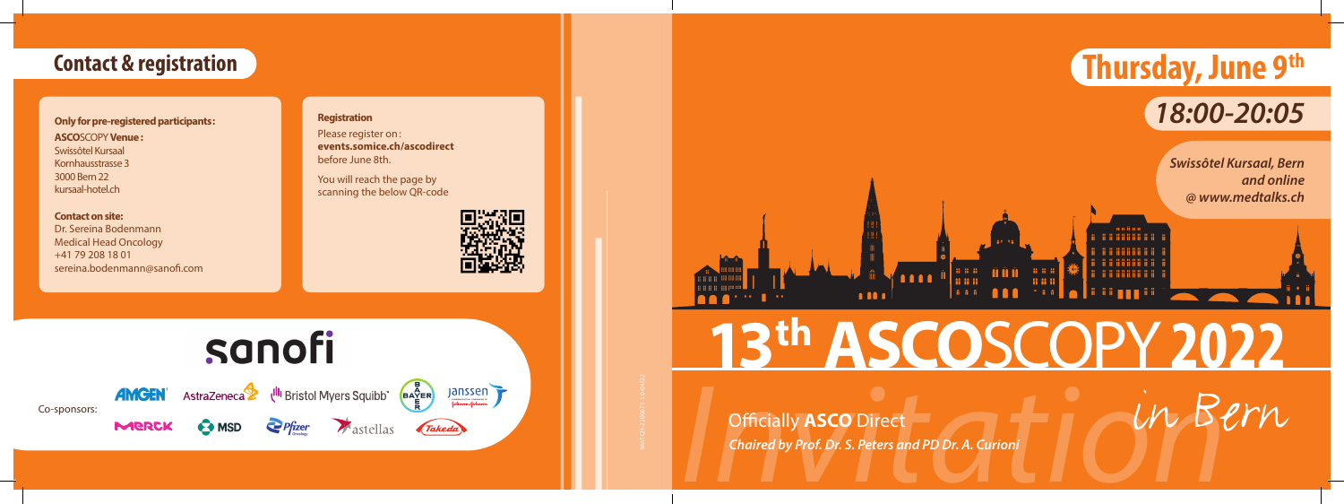

## **Contact & registration**

### **Registration**

Please register on: **events.somice.ch/ascodirect** before June 8th.

You will reach the page by scanning the below QR-code



sanofi

Co-sponsors:

**MERCK** 



# **AMGEN** AstraZeneca <sup>Ul<sub>l</sub> Bristol Myers Squibb BAYER</sup>

Janssen *Takeda* 

 $\blacksquare$ 

*Chaired by Prof. Dr. S. Peters and PD Dr. A. Curioni*

Officially **ASCO** Direct

**Only for pre-registered participants: ASCO**SCOPY **Venue :** Swissôtel Kursaal Kornhausstrasse 3 3000 Bern 22 kursaal-hotel.ch

## **Contact on site:**

Dr. Sereina Bodenmann Medical Head Oncology +41 79 208 18 01 sereina.bodenmann@sanofi.com